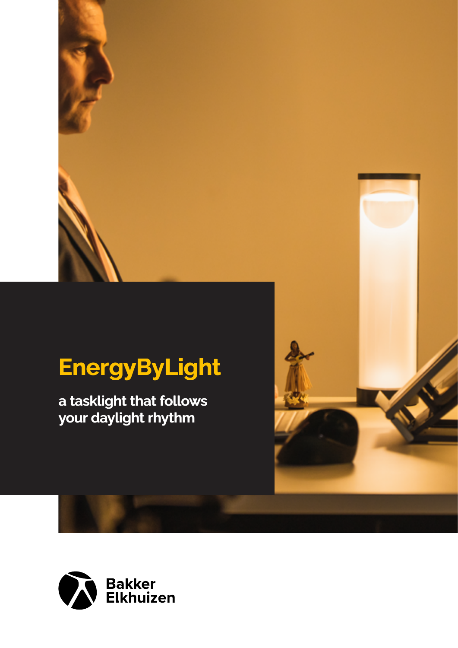# **EnergyByLight EnergyByLight**

**a tasklight that follows your daylight rhythm a tasklight that follows** 



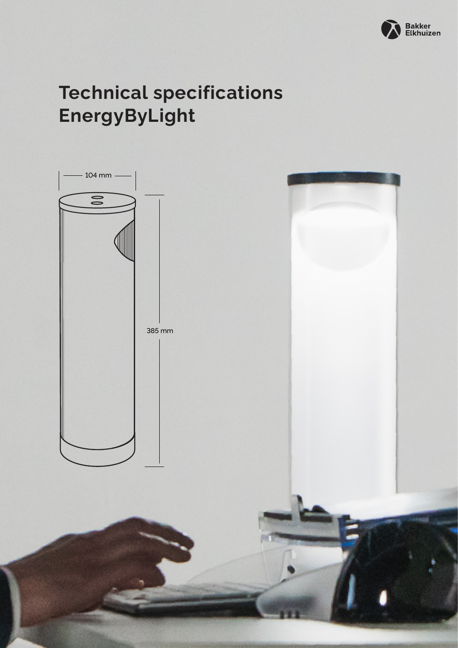

# **Technical specifications EnergyByLight**

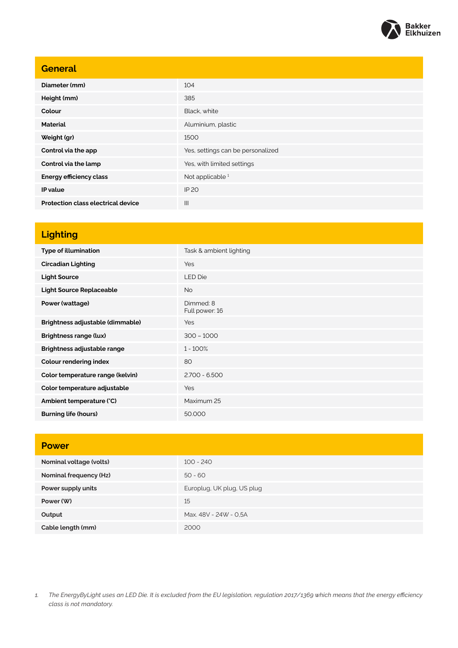

| <b>General</b>                            |                                   |
|-------------------------------------------|-----------------------------------|
| Diameter (mm)                             | 104                               |
| Height (mm)                               | 385                               |
| Colour                                    | Black, white                      |
| <b>Material</b>                           | Aluminium, plastic                |
| Weight (gr)                               | 1500                              |
| Control via the app                       | Yes, settings can be personalized |
| Control via the lamp                      | Yes, with limited settings        |
| <b>Energy efficiency class</b>            | Not applicable <sup>1</sup>       |
| IP value                                  | <b>IP 20</b>                      |
| <b>Protection class electrical device</b> | $\mathbf{III}$                    |

## **Lighting**

| <b>Type of illumination</b>      | Task & ambient lighting     |
|----------------------------------|-----------------------------|
| <b>Circadian Lighting</b>        | Yes                         |
| <b>Light Source</b>              | <b>LED Die</b>              |
| <b>Light Source Replaceable</b>  | No.                         |
| Power (wattage)                  | Dimmed: 8<br>Full power: 16 |
| Brightness adjustable (dimmable) | Yes                         |
| <b>Brightness range (lux)</b>    | $300 - 1000$                |
| Brightness adjustable range      | $1 - 100\%$                 |
| <b>Colour rendering index</b>    | 80                          |
| Color temperature range (kelvin) | $2.700 - 6.500$             |
| Color temperature adjustable     | Yes                         |
| Ambient temperature (°C)         | Maximum 25                  |
| <b>Burning life (hours)</b>      | 50,000                      |

| <b>Power</b>            |                            |
|-------------------------|----------------------------|
| Nominal voltage (volts) | $100 - 240$                |
| Nominal frequency (Hz)  | $50 - 60$                  |
| Power supply units      | Europlug, UK plug, US plug |
| Power (W)               | 15                         |
| Output                  | Max. 48V - 24W - 0,5A      |
| Cable length (mm)       | 2000                       |

*1. The EnergyByLight uses an LED Die. It is excluded from the EU legislation, regulation 2017/1369 which means that the energy efficiency class is not mandatory.*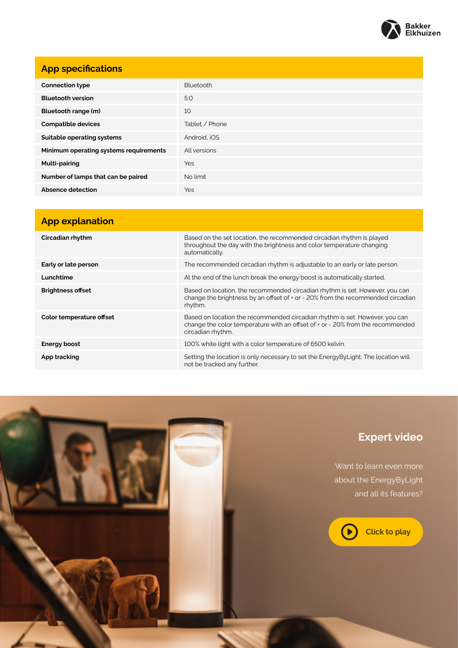

#### **App specifications**

| <b>Connection type</b>                 | Bluetooth      |
|----------------------------------------|----------------|
| <b>Bluetooth version</b>               | 5.0            |
| Bluetooth range (m)                    | 10             |
| <b>Compatible devices</b>              | Tablet / Phone |
| Suitable operating systems             | Android, iOS   |
| Minimum operating systems requirements | All versions   |
| <b>Multi-pairing</b>                   | <b>Yes</b>     |
| Number of lamps that can be paired     | No limit       |
| Absence detection                      | Yes            |

### **App explanation Circadian rhythm** Based on the set location, the recommended circadian rhythm is played throughout the day with the brightness and color temperature changing automatically. **Early or late person Early or late person** The recommended circadian rhythm is adjustable to an early or late person. **Lunchtime At the end of the lunch break the energy boost is automatically started. Brightness offset** Based on location, the recommended circadian rhythm is set. However, you can change the brightness by an offset of + or - 20% from the recommended circadian rhythm. **Color temperature offset Based on location the recommended circadian rhythm is set. However, you can** change the color temperature with an offset of + or - 20% from the recommended circadian rhythm. **Energy boost Energy boost 100%** white light with a color temperature of 6500 kelvin. App tracking **Setting the location is only necessary to set the EnergyByLight. The location will** Setting the location is only necessary to set the EnergyByLight. The location will not be tracked any further.